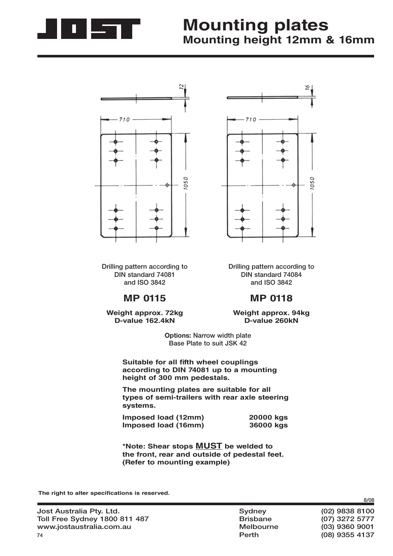

# **Mounting plates Mounting height 12mm & 16mm**



**Drilling pattern according to DIN standard 74081 and ISO 3842**

### **MP 0115**

**Weight approx. 72kg D-value 162.4kN**



**Drilling pattern according to DIN standard 74084 and ISO 3842**

#### **MP 0118**

**Weight approx. 94kg D-value 260kN**

**Options: Narrow width plate Base Plate to suit JSK 42** 

**Suitable for all fifth wheel couplings according to DIN 74081 up to a mounting height of 300 mm pedestals.**

**The mounting plates are suitable for all types of semi-trailers with rear axle steering systems.**

| Imposed load (12mm) | 20000 kgs |
|---------------------|-----------|
| Imposed load (16mm) | 36000 kgs |

**\*Note: Shear stops MUST be welded to the front, rear and outside of pedestal feet. (Refer to mounting example)**

The right to alter specifications is reserved.

**Perth (08) 9355 4137**

**8/08**